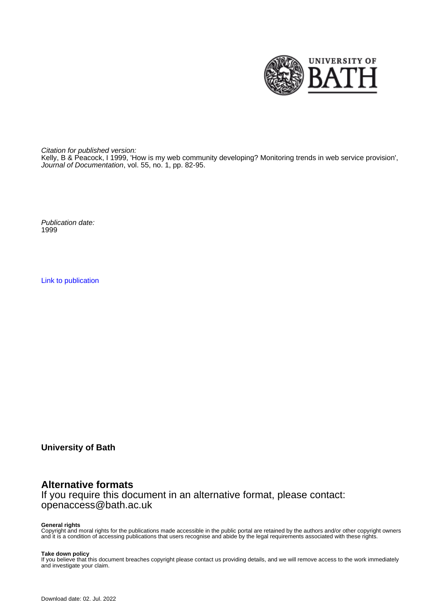

Citation for published version:

Kelly, B & Peacock, I 1999, 'How is my web community developing? Monitoring trends in web service provision', Journal of Documentation, vol. 55, no. 1, pp. 82-95.

Publication date: 1999

[Link to publication](https://researchportal.bath.ac.uk/en/publications/how-is-my-web-community-developing-monitoring-trends-in-web-service-provision(9789aa9d-9fb3-4325-b9b1-ba162879c1b9).html)

**University of Bath**

# **Alternative formats**

If you require this document in an alternative format, please contact: openaccess@bath.ac.uk

#### **General rights**

Copyright and moral rights for the publications made accessible in the public portal are retained by the authors and/or other copyright owners and it is a condition of accessing publications that users recognise and abide by the legal requirements associated with these rights.

#### **Take down policy**

If you believe that this document breaches copyright please contact us providing details, and we will remove access to the work immediately and investigate your claim.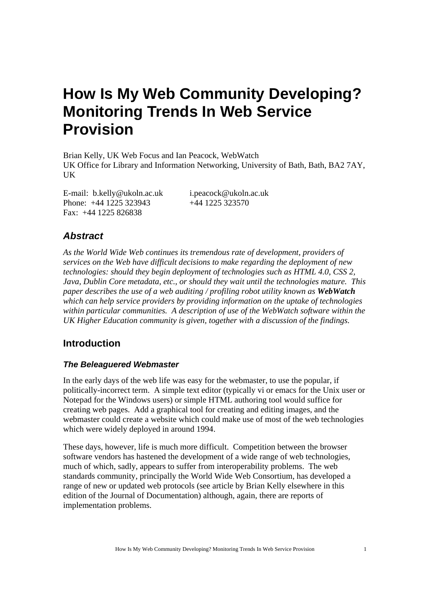# **How Is My Web Community Developing? Monitoring Trends In Web Service Provision**

Brian Kelly, UK Web Focus and Ian Peacock, WebWatch UK Office for Library and Information Networking, University of Bath, Bath, BA2 7AY, **IK** 

E-mail: b.kelly@ukoln.ac.uk i.peacock@ukoln.ac.uk Phone: +44 1225 323943 +44 1225 323570 Fax: +44 1225 826838

# *Abstract*

*As the World Wide Web continues its tremendous rate of development, providers of services on the Web have difficult decisions to make regarding the deployment of new technologies: should they begin deployment of technologies such as HTML 4.0, CSS 2, Java, Dublin Core metadata, etc., or should they wait until the technologies mature. This paper describes the use of a web auditing / profiling robot utility known as WebWatch which can help service providers by providing information on the uptake of technologies within particular communities. A description of use of the WebWatch software within the UK Higher Education community is given, together with a discussion of the findings.* 

# **Introduction**

#### *The Beleaguered Webmaster*

In the early days of the web life was easy for the webmaster, to use the popular, if politically-incorrect term. A simple text editor (typically vi or emacs for the Unix user or Notepad for the Windows users) or simple HTML authoring tool would suffice for creating web pages. Add a graphical tool for creating and editing images, and the webmaster could create a website which could make use of most of the web technologies which were widely deployed in around 1994.

These days, however, life is much more difficult. Competition between the browser software vendors has hastened the development of a wide range of web technologies, much of which, sadly, appears to suffer from interoperability problems. The web standards community, principally the World Wide Web Consortium, has developed a range of new or updated web protocols (see article by Brian Kelly elsewhere in this edition of the Journal of Documentation) although, again, there are reports of implementation problems.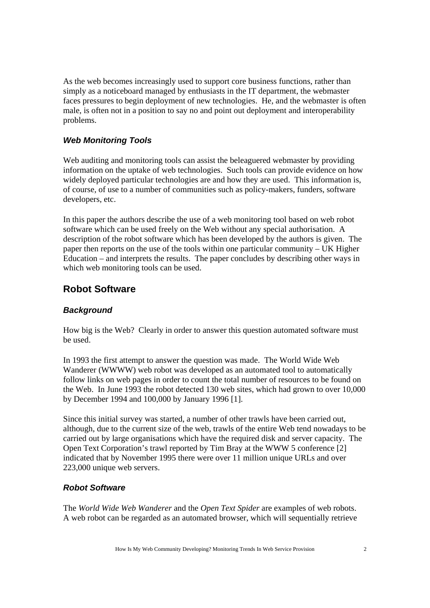As the web becomes increasingly used to support core business functions, rather than simply as a noticeboard managed by enthusiasts in the IT department, the webmaster faces pressures to begin deployment of new technologies. He, and the webmaster is often male, is often not in a position to say no and point out deployment and interoperability problems.

#### *Web Monitoring Tools*

Web auditing and monitoring tools can assist the beleaguered webmaster by providing information on the uptake of web technologies. Such tools can provide evidence on how widely deployed particular technologies are and how they are used. This information is, of course, of use to a number of communities such as policy-makers, funders, software developers, etc.

In this paper the authors describe the use of a web monitoring tool based on web robot software which can be used freely on the Web without any special authorisation. A description of the robot software which has been developed by the authors is given. The paper then reports on the use of the tools within one particular community – UK Higher Education – and interprets the results. The paper concludes by describing other ways in which web monitoring tools can be used.

### **Robot Software**

#### *Background*

How big is the Web? Clearly in order to answer this question automated software must be used.

In 1993 the first attempt to answer the question was made. The World Wide Web Wanderer (WWWW) web robot was developed as an automated tool to automatically follow links on web pages in order to count the total number of resources to be found on the Web. In June 1993 the robot detected 130 web sites, which had grown to over 10,000 by December 1994 and 100,000 by January 1996 [1].

Since this initial survey was started, a number of other trawls have been carried out, although, due to the current size of the web, trawls of the entire Web tend nowadays to be carried out by large organisations which have the required disk and server capacity. The Open Text Corporation's trawl reported by Tim Bray at the WWW 5 conference [2] indicated that by November 1995 there were over 11 million unique URLs and over 223,000 unique web servers.

#### *Robot Software*

The *World Wide Web Wanderer* and the *Open Text Spider* are examples of web robots. A web robot can be regarded as an automated browser, which will sequentially retrieve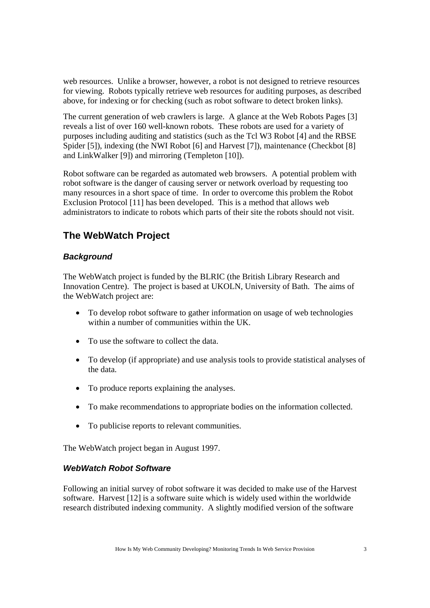web resources. Unlike a browser, however, a robot is not designed to retrieve resources for viewing. Robots typically retrieve web resources for auditing purposes, as described above, for indexing or for checking (such as robot software to detect broken links).

The current generation of web crawlers is large. A glance at the Web Robots Pages [3] reveals a list of over 160 well-known robots. These robots are used for a variety of purposes including auditing and statistics (such as the Tcl W3 Robot [4] and the RBSE Spider [5]), indexing (the NWI Robot [6] and Harvest [7]), maintenance (Checkbot [8] and LinkWalker [9]) and mirroring (Templeton [10]).

Robot software can be regarded as automated web browsers. A potential problem with robot software is the danger of causing server or network overload by requesting too many resources in a short space of time. In order to overcome this problem the Robot Exclusion Protocol [11] has been developed. This is a method that allows web administrators to indicate to robots which parts of their site the robots should not visit.

# **The WebWatch Project**

### *Background*

The WebWatch project is funded by the BLRIC (the British Library Research and Innovation Centre). The project is based at UKOLN, University of Bath. The aims of the WebWatch project are:

- To develop robot software to gather information on usage of web technologies within a number of communities within the UK.
- To use the software to collect the data.
- To develop (if appropriate) and use analysis tools to provide statistical analyses of the data.
- To produce reports explaining the analyses.
- To make recommendations to appropriate bodies on the information collected.
- To publicise reports to relevant communities.

The WebWatch project began in August 1997.

#### *WebWatch Robot Software*

Following an initial survey of robot software it was decided to make use of the Harvest software. Harvest [12] is a software suite which is widely used within the worldwide research distributed indexing community. A slightly modified version of the software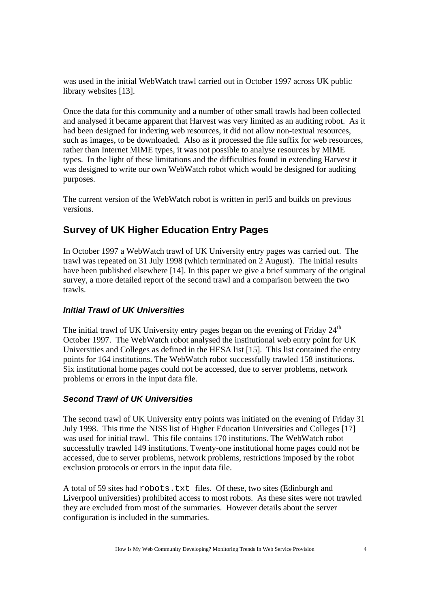was used in the initial WebWatch trawl carried out in October 1997 across UK public library websites [13].

Once the data for this community and a number of other small trawls had been collected and analysed it became apparent that Harvest was very limited as an auditing robot. As it had been designed for indexing web resources, it did not allow non-textual resources, such as images, to be downloaded. Also as it processed the file suffix for web resources, rather than Internet MIME types, it was not possible to analyse resources by MIME types. In the light of these limitations and the difficulties found in extending Harvest it was designed to write our own WebWatch robot which would be designed for auditing purposes.

The current version of the WebWatch robot is written in perl5 and builds on previous versions.

# **Survey of UK Higher Education Entry Pages**

In October 1997 a WebWatch trawl of UK University entry pages was carried out. The trawl was repeated on 31 July 1998 (which terminated on 2 August). The initial results have been published elsewhere [14]. In this paper we give a brief summary of the original survey, a more detailed report of the second trawl and a comparison between the two trawls.

#### *Initial Trawl of UK Universities*

The initial trawl of UK University entry pages began on the evening of Friday  $24<sup>th</sup>$ October 1997. The WebWatch robot analysed the institutional web entry point for UK Universities and Colleges as defined in the HESA list [15]. This list contained the entry points for 164 institutions. The WebWatch robot successfully trawled 158 institutions. Six institutional home pages could not be accessed, due to server problems, network problems or errors in the input data file.

#### *Second Trawl of UK Universities*

The second trawl of UK University entry points was initiated on the evening of Friday 31 July 1998. This time the NISS list of Higher Education Universities and Colleges [17] was used for initial trawl. This file contains 170 institutions. The WebWatch robot successfully trawled 149 institutions. Twenty-one institutional home pages could not be accessed, due to server problems, network problems, restrictions imposed by the robot exclusion protocols or errors in the input data file.

A total of 59 sites had robots.txt files. Of these, two sites (Edinburgh and Liverpool universities) prohibited access to most robots. As these sites were not trawled they are excluded from most of the summaries. However details about the server configuration is included in the summaries.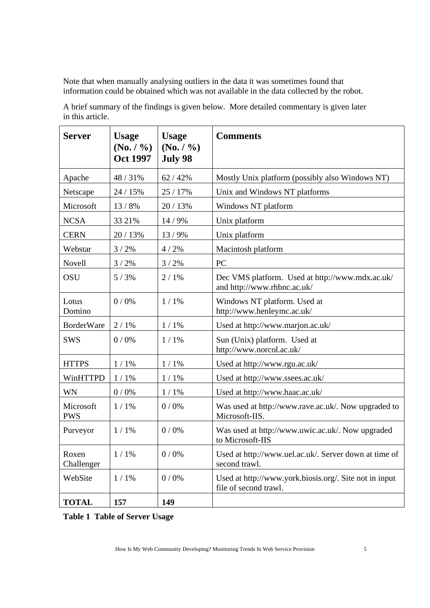Note that when manually analysing outliers in the data it was sometimes found that information could be obtained which was not available in the data collected by the robot.

| <b>Server</b>           | <b>Usage</b><br>(No. / %)<br><b>Oct 1997</b> | <b>Usage</b><br>$(N_0, / V_0)$<br><b>July 98</b> | <b>Comments</b>                                                                 |  |
|-------------------------|----------------------------------------------|--------------------------------------------------|---------------------------------------------------------------------------------|--|
| Apache                  | 48 / 31%                                     | 62 / 42%                                         | Mostly Unix platform (possibly also Windows NT)                                 |  |
| Netscape                | 24 / 15%                                     | 25 / 17%                                         | Unix and Windows NT platforms                                                   |  |
| Microsoft               | 13 / 8%                                      | 20 / 13%                                         | Windows NT platform                                                             |  |
| <b>NCSA</b>             | 33 21%                                       | 14 / 9%                                          | Unix platform                                                                   |  |
| <b>CERN</b>             | 20 / 13%                                     | 13/9%                                            | Unix platform                                                                   |  |
| Webstar                 | 3/2%                                         | 4/2%                                             | Macintosh platform                                                              |  |
| Novell                  | 3/2%                                         | 3/2%                                             | <b>PC</b>                                                                       |  |
| OSU                     | 5/3%                                         | 2/1%                                             | Dec VMS platform. Used at http://www.mdx.ac.uk/<br>and http://www.rhbnc.ac.uk/  |  |
| Lotus<br>Domino         | 0/0%                                         | $1/1\%$                                          | Windows NT platform. Used at<br>http://www.henleymc.ac.uk/                      |  |
| <b>BorderWare</b>       | 2/1%                                         | $1/1\%$                                          | Used at http://www.marjon.ac.uk/                                                |  |
| <b>SWS</b>              | 0/0%                                         | $1/1\%$                                          | Sun (Unix) platform. Used at<br>http://www.norcol.ac.uk/                        |  |
| <b>HTTPS</b>            | $1/1\%$                                      | $1/1\%$                                          | Used at http://www.rgu.ac.uk/                                                   |  |
| WinHTTPD                | $1/1\%$                                      | 1/1%                                             | Used at http://www.ssees.ac.uk/                                                 |  |
| WN                      | 0/0%                                         | $1/1\%$                                          | Used at http://www.haac.ac.uk/                                                  |  |
| Microsoft<br><b>PWS</b> | $1/1\%$                                      | 0/0%                                             | Was used at http://www.rave.ac.uk/. Now upgraded to<br>Microsoft-IIS.           |  |
| Purveyor                | $1/1\%$                                      | 0/0%                                             | Was used at http://www.uwic.ac.uk/. Now upgraded<br>to Microsoft-IIS            |  |
| Roxen<br>Challenger     | $1/1\%$                                      | 0/0%                                             | Used at http://www.uel.ac.uk/. Server down at time of<br>second trawl.          |  |
| WebSite                 | $1/1\%$                                      | 0/0%                                             | Used at http://www.york.biosis.org/. Site not in input<br>file of second trawl. |  |
| <b>TOTAL</b>            | 157                                          | 149                                              |                                                                                 |  |

A brief summary of the findings is given below. More detailed commentary is given later in this article.

**Table 1 Table of Server Usage**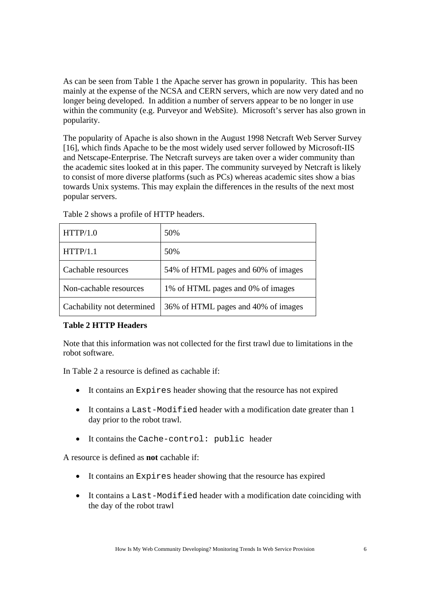As can be seen from Table 1 the Apache server has grown in popularity. This has been mainly at the expense of the NCSA and CERN servers, which are now very dated and no longer being developed. In addition a number of servers appear to be no longer in use within the community (e.g. Purveyor and WebSite). Microsoft's server has also grown in popularity.

The popularity of Apache is also shown in the August 1998 Netcraft Web Server Survey [16], which finds Apache to be the most widely used server followed by Microsoft-IIS and Netscape-Enterprise. The Netcraft surveys are taken over a wider community than the academic sites looked at in this paper. The community surveyed by Netcraft is likely to consist of more diverse platforms (such as PCs) whereas academic sites show a bias towards Unix systems. This may explain the differences in the results of the next most popular servers.

| HTTP/1.0                   | 50%                                 |  |
|----------------------------|-------------------------------------|--|
| HTTP/1.1                   | 50%                                 |  |
| Cachable resources         | 54% of HTML pages and 60% of images |  |
| Non-cachable resources     | 1% of HTML pages and 0% of images   |  |
| Cachability not determined | 36% of HTML pages and 40% of images |  |

Table 2 shows a profile of HTTP headers.

#### **Table 2 HTTP Headers**

Note that this information was not collected for the first trawl due to limitations in the robot software.

In Table 2 a resource is defined as cachable if:

- It contains an Expires header showing that the resource has not expired
- It contains a Last-Modified header with a modification date greater than 1 day prior to the robot trawl.
- It contains the Cache-control: public header

A resource is defined as **not** cachable if:

- It contains an Expires header showing that the resource has expired
- It contains a Last-Modified header with a modification date coinciding with the day of the robot trawl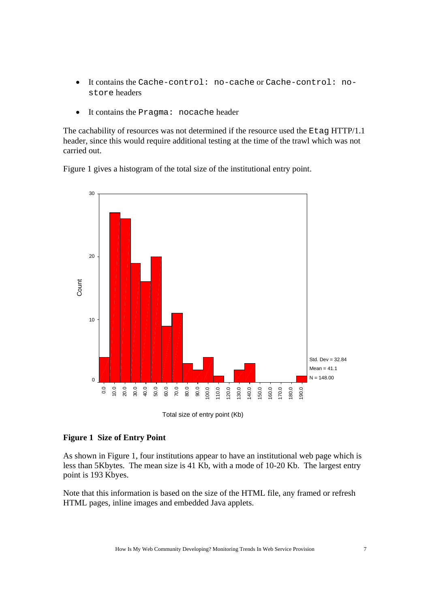- It contains the Cache-control: no-cache or Cache-control: nostore headers
- It contains the Pragma: nocache header

The cachability of resources was not determined if the resource used the Etaq HTTP/1.1 header, since this would require additional testing at the time of the trawl which was not carried out.

Figure 1 gives a histogram of the total size of the institutional entry point.



Total size of entry point (Kb)

#### **Figure 1 Size of Entry Point**

As shown in Figure 1, four institutions appear to have an institutional web page which is less than 5Kbytes. The mean size is 41 Kb, with a mode of 10-20 Kb. The largest entry point is 193 Kbyes.

Note that this information is based on the size of the HTML file, any framed or refresh HTML pages, inline images and embedded Java applets.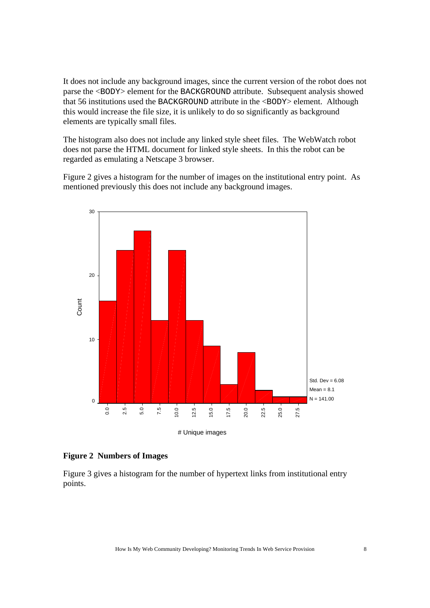It does not include any background images, since the current version of the robot does not parse the <BODY> element for the BACKGROUND attribute. Subsequent analysis showed that 56 institutions used the BACKGROUND attribute in the <BODY> element. Although this would increase the file size, it is unlikely to do so significantly as background elements are typically small files.

The histogram also does not include any linked style sheet files. The WebWatch robot does not parse the HTML document for linked style sheets. In this the robot can be regarded as emulating a Netscape 3 browser.

Figure 2 gives a histogram for the number of images on the institutional entry point. As mentioned previously this does not include any background images.



#### **Figure 2 Numbers of Images**

Figure 3 gives a histogram for the number of hypertext links from institutional entry points.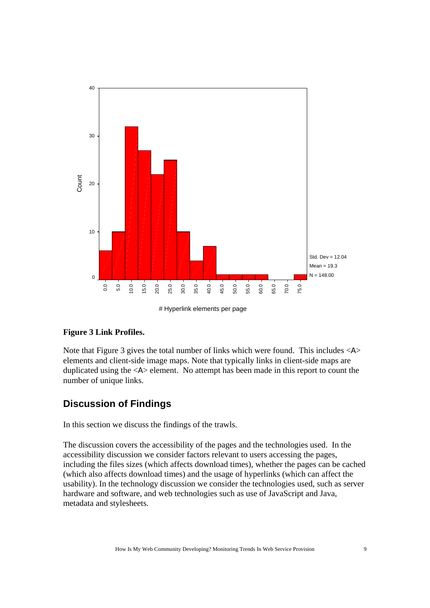

# Hyperlink elements per page

#### **Figure 3 Link Profiles.**

Note that Figure 3 gives the total number of links which were found. This includes  $\langle A \rangle$ elements and client-side image maps. Note that typically links in client-side maps are duplicated using the <A> element. No attempt has been made in this report to count the number of unique links.

# **Discussion of Findings**

In this section we discuss the findings of the trawls.

The discussion covers the accessibility of the pages and the technologies used. In the accessibility discussion we consider factors relevant to users accessing the pages, including the files sizes (which affects download times), whether the pages can be cached (which also affects download times) and the usage of hyperlinks (which can affect the usability). In the technology discussion we consider the technologies used, such as server hardware and software, and web technologies such as use of JavaScript and Java, metadata and stylesheets.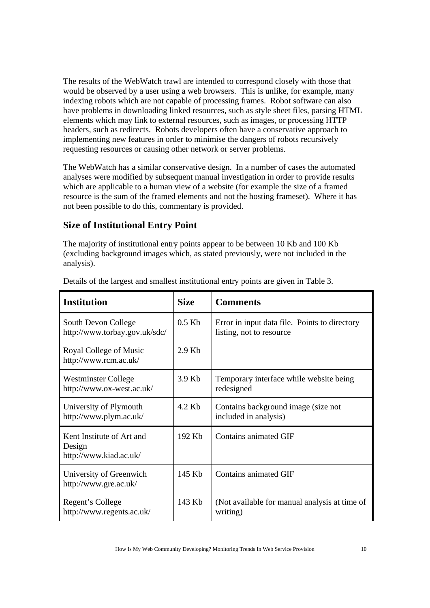The results of the WebWatch trawl are intended to correspond closely with those that would be observed by a user using a web browsers. This is unlike, for example, many indexing robots which are not capable of processing frames. Robot software can also have problems in downloading linked resources, such as style sheet files, parsing HTML elements which may link to external resources, such as images, or processing HTTP headers, such as redirects. Robots developers often have a conservative approach to implementing new features in order to minimise the dangers of robots recursively requesting resources or causing other network or server problems.

The WebWatch has a similar conservative design. In a number of cases the automated analyses were modified by subsequent manual investigation in order to provide results which are applicable to a human view of a website (for example the size of a framed resource is the sum of the framed elements and not the hosting frameset). Where it has not been possible to do this, commentary is provided.

# **Size of Institutional Entry Point**

The majority of institutional entry points appear to be between 10 Kb and 100 Kb (excluding background images which, as stated previously, were not included in the analysis).

| <b>Institution</b>                                            | <b>Size</b> | <b>Comments</b>                                                           |
|---------------------------------------------------------------|-------------|---------------------------------------------------------------------------|
| South Devon College<br>http://www.torbay.gov.uk/sdc/          | $0.5$ Kb    | Error in input data file. Points to directory<br>listing, not to resource |
| Royal College of Music<br>http://www.rcm.ac.uk/               | $2.9$ Kb    |                                                                           |
| <b>Westminster College</b><br>http://www.ox-west.ac.uk/       | 3.9 Kb      | Temporary interface while website being<br>redesigned                     |
| University of Plymouth<br>http://www.plym.ac.uk/              | 4.2 Kb      | Contains background image (size not<br>included in analysis)              |
| Kent Institute of Art and<br>Design<br>http://www.kiad.ac.uk/ | 192 Kb      | Contains animated GIF                                                     |
| University of Greenwich<br>http://www.gre.ac.uk/              | 145 Kb      | <b>Contains animated GIF</b>                                              |
| Regent's College<br>http://www.regents.ac.uk/                 | 143 Kb      | (Not available for manual analysis at time of<br>writing)                 |

Details of the largest and smallest institutional entry points are given in Table 3.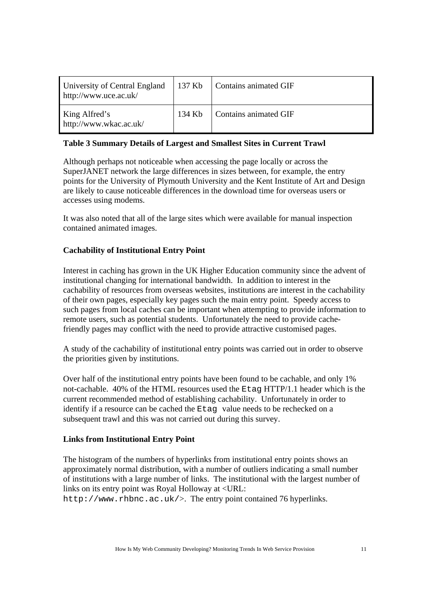| University of Central England<br>http://www.uce.ac.uk/ | $\vert$ 137 Kb | Contains animated GIF |
|--------------------------------------------------------|----------------|-----------------------|
| King Alfred's<br>http://www.wkac.ac.uk/                | 134 Kb         | Contains animated GIF |

#### **Table 3 Summary Details of Largest and Smallest Sites in Current Trawl**

Although perhaps not noticeable when accessing the page locally or across the SuperJANET network the large differences in sizes between, for example, the entry points for the University of Plymouth University and the Kent Institute of Art and Design are likely to cause noticeable differences in the download time for overseas users or accesses using modems.

It was also noted that all of the large sites which were available for manual inspection contained animated images.

#### **Cachability of Institutional Entry Point**

Interest in caching has grown in the UK Higher Education community since the advent of institutional changing for international bandwidth. In addition to interest in the cachability of resources from overseas websites, institutions are interest in the cachability of their own pages, especially key pages such the main entry point. Speedy access to such pages from local caches can be important when attempting to provide information to remote users, such as potential students. Unfortunately the need to provide cachefriendly pages may conflict with the need to provide attractive customised pages.

A study of the cachability of institutional entry points was carried out in order to observe the priorities given by institutions.

Over half of the institutional entry points have been found to be cachable, and only 1% not-cachable. 40% of the HTML resources used the Etag HTTP/1.1 header which is the current recommended method of establishing cachability. Unfortunately in order to identify if a resource can be cached the Etag value needs to be rechecked on a subsequent trawl and this was not carried out during this survey.

#### **Links from Institutional Entry Point**

The histogram of the numbers of hyperlinks from institutional entry points shows an approximately normal distribution, with a number of outliers indicating a small number of institutions with a large number of links. The institutional with the largest number of links on its entry point was Royal Holloway at <URL:

http://www.rhbnc.ac.uk/>. The entry point contained 76 hyperlinks.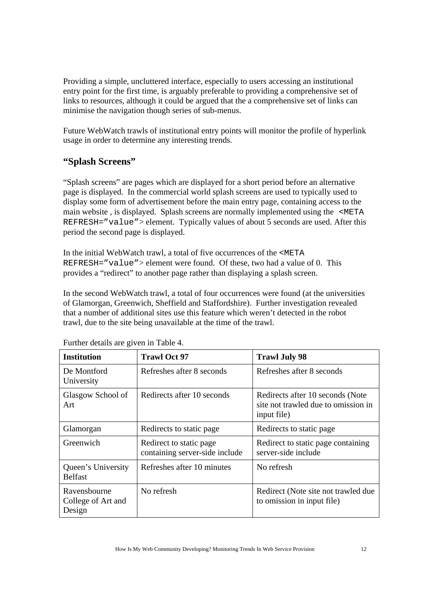Providing a simple, uncluttered interface, especially to users accessing an institutional entry point for the first time, is arguably preferable to providing a comprehensive set of links to resources, although it could be argued that the a comprehensive set of links can minimise the navigation though series of sub-menus.

Future WebWatch trawls of institutional entry points will monitor the profile of hyperlink usage in order to determine any interesting trends.

# **"Splash Screens"**

"Splash screens" are pages which are displayed for a short period before an alternative page is displayed. In the commercial world splash screens are used to typically used to display some form of advertisement before the main entry page, containing access to the main website , is displayed. Splash screens are normally implemented using the <META REFRESH="value"> element. Typically values of about 5 seconds are used. After this period the second page is displayed.

In the initial WebWatch trawl, a total of five occurrences of the <META REFRESH="value"> element were found. Of these, two had a value of 0. This provides a "redirect" to another page rather than displaying a splash screen.

In the second WebWatch trawl, a total of four occurrences were found (at the universities of Glamorgan, Greenwich, Sheffield and Staffordshire). Further investigation revealed that a number of additional sites use this feature which weren't detected in the robot trawl, due to the site being unavailable at the time of the trawl.

| <b>Institution</b>                           | <b>Trawl Oct 97</b>                                       | <b>Trawl July 98</b>                                                                   |
|----------------------------------------------|-----------------------------------------------------------|----------------------------------------------------------------------------------------|
| De Montford<br>University                    | Refreshes after 8 seconds                                 | Refreshes after 8 seconds                                                              |
| Glasgow School of<br>Art                     | Redirects after 10 seconds                                | Redirects after 10 seconds (Note<br>site not trawled due to omission in<br>input file) |
| Glamorgan                                    | Redirects to static page                                  | Redirects to static page                                                               |
| Greenwich                                    | Redirect to static page<br>containing server-side include | Redirect to static page containing<br>server-side include                              |
| Queen's University<br><b>Belfast</b>         | Refreshes after 10 minutes                                | No refresh                                                                             |
| Ravensbourne<br>College of Art and<br>Design | No refresh                                                | Redirect (Note site not trawled due)<br>to omission in input file)                     |

Further details are given in Table 4.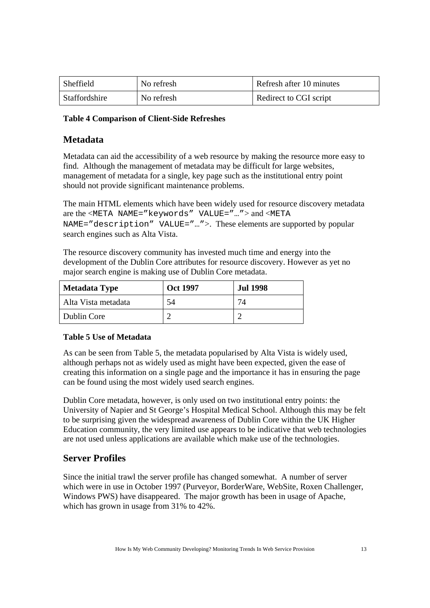| Sheffield     | No refresh | Refresh after 10 minutes |
|---------------|------------|--------------------------|
| Staffordshire | No refresh | Redirect to CGI script   |

#### **Table 4 Comparison of Client-Side Refreshes**

#### **Metadata**

Metadata can aid the accessibility of a web resource by making the resource more easy to find. Although the management of metadata may be difficult for large websites, management of metadata for a single, key page such as the institutional entry point should not provide significant maintenance problems.

The main HTML elements which have been widely used for resource discovery metadata are the <META NAME="keywords" VALUE="…"> and <META NAME="description" VALUE="…">. These elements are supported by popular search engines such as Alta Vista.

The resource discovery community has invested much time and energy into the development of the Dublin Core attributes for resource discovery. However as yet no major search engine is making use of Dublin Core metadata.

| Metadata Type       | <b>Oct 1997</b> | <b>Jul 1998</b> |
|---------------------|-----------------|-----------------|
| Alta Vista metadata | 54              | 74              |
| Dublin Core         |                 |                 |

#### **Table 5 Use of Metadata**

As can be seen from Table 5, the metadata popularised by Alta Vista is widely used, although perhaps not as widely used as might have been expected, given the ease of creating this information on a single page and the importance it has in ensuring the page can be found using the most widely used search engines.

Dublin Core metadata, however, is only used on two institutional entry points: the University of Napier and St George's Hospital Medical School. Although this may be felt to be surprising given the widespread awareness of Dublin Core within the UK Higher Education community, the very limited use appears to be indicative that web technologies are not used unless applications are available which make use of the technologies.

# **Server Profiles**

Since the initial trawl the server profile has changed somewhat. A number of server which were in use in October 1997 (Purveyor, BorderWare, WebSite, Roxen Challenger, Windows PWS) have disappeared. The major growth has been in usage of Apache, which has grown in usage from 31% to 42%.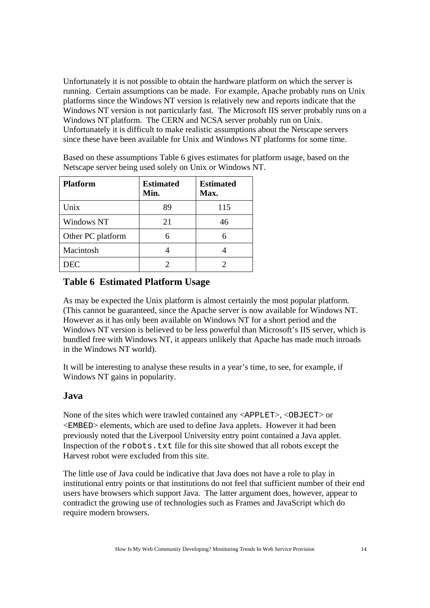Unfortunately it is not possible to obtain the hardware platform on which the server is running. Certain assumptions can be made. For example, Apache probably runs on Unix platforms since the Windows NT version is relatively new and reports indicate that the Windows NT version is not particularly fast. The Microsoft IIS server probably runs on a Windows NT platform. The CERN and NCSA server probably run on Unix. Unfortunately it is difficult to make realistic assumptions about the Netscape servers since these have been available for Unix and Windows NT platforms for some time.

| <b>Platform</b>   | <b>Estimated</b><br>Min. | <b>Estimated</b><br>Max. |
|-------------------|--------------------------|--------------------------|
| Unix              | 89                       | 115                      |
| Windows NT        | 21                       | 46                       |
| Other PC platform |                          |                          |
| Macintosh         |                          |                          |
| <b>DEC</b>        |                          |                          |

Based on these assumptions Table 6 gives estimates for platform usage, based on the Netscape server being used solely on Unix or Windows NT.

# **Table 6 Estimated Platform Usage**

As may be expected the Unix platform is almost certainly the most popular platform. (This cannot be guaranteed, since the Apache server is now available for Windows NT. However as it has only been available on Windows NT for a short period and the Windows NT version is believed to be less powerful than Microsoft's IIS server, which is bundled free with Windows NT, it appears unlikely that Apache has made much inroads in the Windows NT world).

It will be interesting to analyse these results in a year's time, to see, for example, if Windows NT gains in popularity.

#### **Java**

None of the sites which were trawled contained any <APPLET>, <OBJECT> or <EMBED> elements, which are used to define Java applets. However it had been previously noted that the Liverpool University entry point contained a Java applet. Inspection of the robots.txt file for this site showed that all robots except the Harvest robot were excluded from this site.

The little use of Java could be indicative that Java does not have a role to play in institutional entry points or that institutions do not feel that sufficient number of their end users have browsers which support Java. The latter argument does, however, appear to contradict the growing use of technologies such as Frames and JavaScript which do require modern browsers.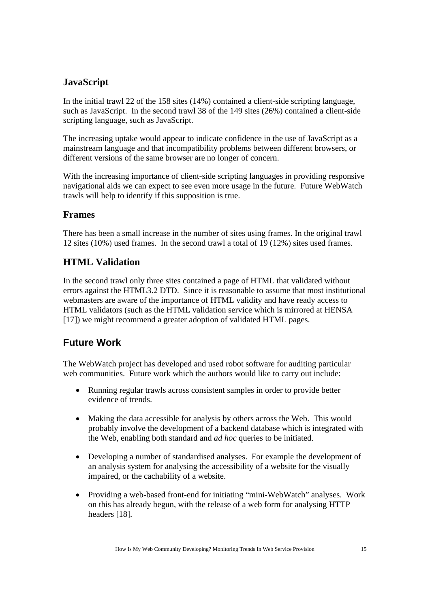# **JavaScript**

In the initial trawl 22 of the 158 sites (14%) contained a client-side scripting language, such as JavaScript. In the second trawl 38 of the 149 sites (26%) contained a client-side scripting language, such as JavaScript.

The increasing uptake would appear to indicate confidence in the use of JavaScript as a mainstream language and that incompatibility problems between different browsers, or different versions of the same browser are no longer of concern.

With the increasing importance of client-side scripting languages in providing responsive navigational aids we can expect to see even more usage in the future. Future WebWatch trawls will help to identify if this supposition is true.

# **Frames**

There has been a small increase in the number of sites using frames. In the original trawl 12 sites (10%) used frames. In the second trawl a total of 19 (12%) sites used frames.

# **HTML Validation**

In the second trawl only three sites contained a page of HTML that validated without errors against the HTML3.2 DTD. Since it is reasonable to assume that most institutional webmasters are aware of the importance of HTML validity and have ready access to HTML validators (such as the HTML validation service which is mirrored at HENSA [17]) we might recommend a greater adoption of validated HTML pages.

# **Future Work**

The WebWatch project has developed and used robot software for auditing particular web communities. Future work which the authors would like to carry out include:

- Running regular trawls across consistent samples in order to provide better evidence of trends.
- Making the data accessible for analysis by others across the Web. This would probably involve the development of a backend database which is integrated with the Web, enabling both standard and *ad hoc* queries to be initiated.
- Developing a number of standardised analyses. For example the development of an analysis system for analysing the accessibility of a website for the visually impaired, or the cachability of a website.
- Providing a web-based front-end for initiating "mini-WebWatch" analyses. Work on this has already begun, with the release of a web form for analysing HTTP headers [18].